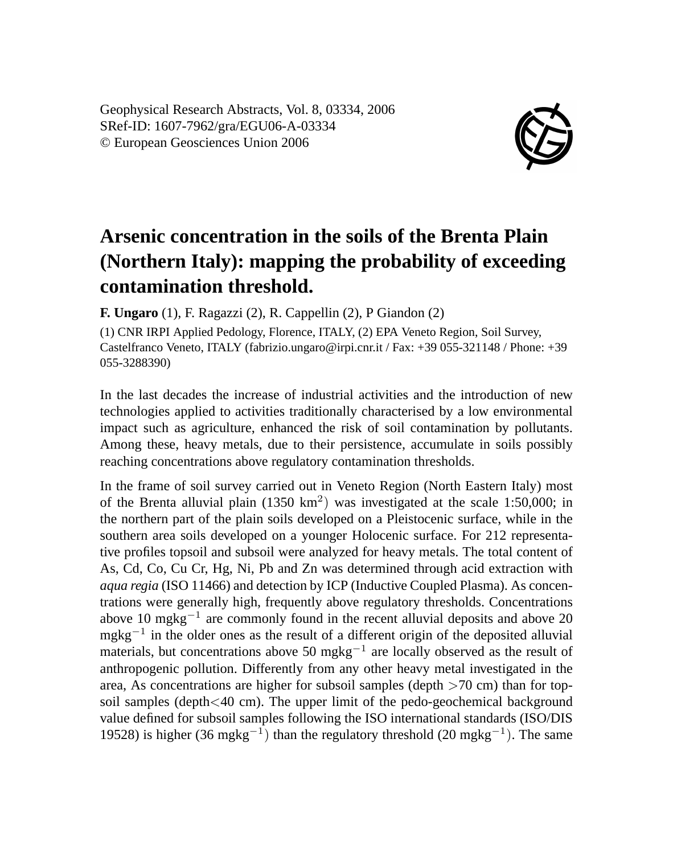Geophysical Research Abstracts, Vol. 8, 03334, 2006 SRef-ID: 1607-7962/gra/EGU06-A-03334 © European Geosciences Union 2006



## **Arsenic concentration in the soils of the Brenta Plain (Northern Italy): mapping the probability of exceeding contamination threshold.**

**F. Ungaro** (1), F. Ragazzi (2), R. Cappellin (2), P Giandon (2)

(1) CNR IRPI Applied Pedology, Florence, ITALY, (2) EPA Veneto Region, Soil Survey, Castelfranco Veneto, ITALY (fabrizio.ungaro@irpi.cnr.it / Fax: +39 055-321148 / Phone: +39 055-3288390)

In the last decades the increase of industrial activities and the introduction of new technologies applied to activities traditionally characterised by a low environmental impact such as agriculture, enhanced the risk of soil contamination by pollutants. Among these, heavy metals, due to their persistence, accumulate in soils possibly reaching concentrations above regulatory contamination thresholds.

In the frame of soil survey carried out in Veneto Region (North Eastern Italy) most of the Brenta alluvial plain  $(1350 \text{ km}^2)$  was investigated at the scale 1:50,000; in the northern part of the plain soils developed on a Pleistocenic surface, while in the southern area soils developed on a younger Holocenic surface. For 212 representative profiles topsoil and subsoil were analyzed for heavy metals. The total content of As, Cd, Co, Cu Cr, Hg, Ni, Pb and Zn was determined through acid extraction with *aqua regia* (ISO 11466) and detection by ICP (Inductive Coupled Plasma). As concentrations were generally high, frequently above regulatory thresholds. Concentrations above 10 mgkg<sup>-1</sup> are commonly found in the recent alluvial deposits and above 20 mgkg<sup>-1</sup> in the older ones as the result of a different origin of the deposited alluvial materials, but concentrations above 50 mgkg<sup>-1</sup> are locally observed as the result of anthropogenic pollution. Differently from any other heavy metal investigated in the area, As concentrations are higher for subsoil samples (depth  $>70$  cm) than for topsoil samples (depth<40 cm). The upper limit of the pedo-geochemical background value defined for subsoil samples following the ISO international standards (ISO/DIS 19528) is higher (36 mgkg<sup>-1</sup>) than the regulatory threshold (20 mgkg<sup>-1</sup>). The same